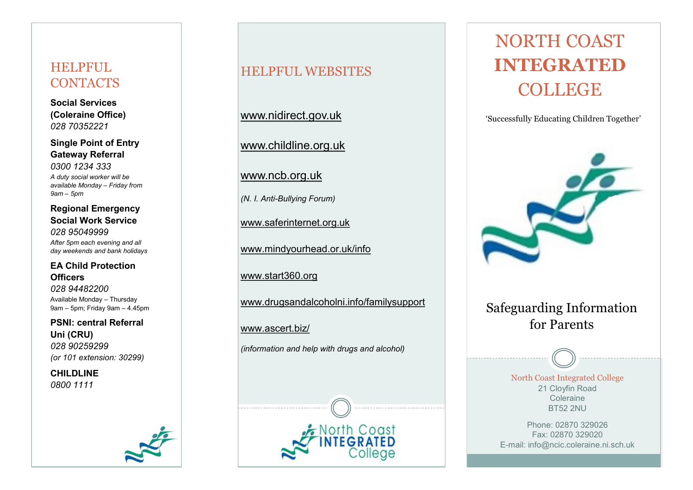# HELPFUL **CONTACTS**

**Social Services (Coleraine Office)**  *028 70352221*

**Single Point of Entry Gateway Referral**  *0300 1234 333*

*A duty social worker will be available Monday – Friday from 9am – 5pm*

**Regional Emergency Social Work Service**  *028 95049999*

*After 5pm each evening and all day weekends and bank holidays*

## **EA Child Protection Officers**

*028 94482200* Available Monday – Thursday 9am – 5pm; Friday 9am – 4.45pm

**PSNI: central Referral Uni (CRU)** *028 90259299 (or 101 extension: 30299)*

**CHILDLINE** *0800 1111*

# HELPFUL WEBSITES

www.nidirect.gov.uk

www.childline.org.uk

www.ncb.org.uk

*(N. I. Anti-Bullying Forum)*

www.saferinternet.org.uk

www.mindyourhead.or.uk/info

www.start360.org

www.drugsandalcoholni.info/familysupport

North Coast

## www.ascert.biz/

*(information and help with drugs and alcohol)*



'Successfully Educating Children Together'



# Safeguarding Information for Parents

North Coast Integrated College 21 Cloyfin Road Coleraine BT52 2NU

Phone: 02870 329026 Fax: 02870 329020 E-mail: info@ncic.coleraine.ni.sch.uk